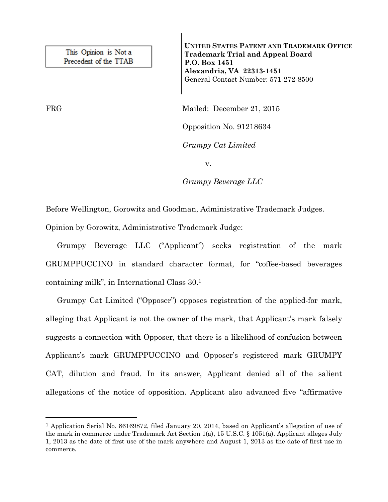This Opinion is Not a Precedent of the TTAB

—<br>—

**UNITED STATES PATENT AND TRADEMARK OFFICE Trademark Trial and Appeal Board P.O. Box 1451 Alexandria, VA 22313-1451**  General Contact Number: 571-272-8500

FRG Mailed: December 21, 2015

Opposition No. 91218634

*Grumpy Cat Limited* 

v.

*Grumpy Beverage LLC* 

Before Wellington, Gorowitz and Goodman, Administrative Trademark Judges.

Opinion by Gorowitz, Administrative Trademark Judge:

 Grumpy Beverage LLC ("Applicant") seeks registration of the mark GRUMPPUCCINO in standard character format, for "coffee-based beverages containing milk", in International Class 30.1

 Grumpy Cat Limited ("Opposer") opposes registration of the applied-for mark, alleging that Applicant is not the owner of the mark, that Applicant's mark falsely suggests a connection with Opposer, that there is a likelihood of confusion between Applicant's mark GRUMPPUCCINO and Opposer's registered mark GRUMPY CAT, dilution and fraud. In its answer, Applicant denied all of the salient allegations of the notice of opposition. Applicant also advanced five "affirmative

<sup>1</sup> Application Serial No. 86169872, filed January 20, 2014, based on Applicant's allegation of use of the mark in commerce under Trademark Act Section 1(a), 15 U.S.C. § 1051(a). Applicant alleges July 1, 2013 as the date of first use of the mark anywhere and August 1, 2013 as the date of first use in commerce.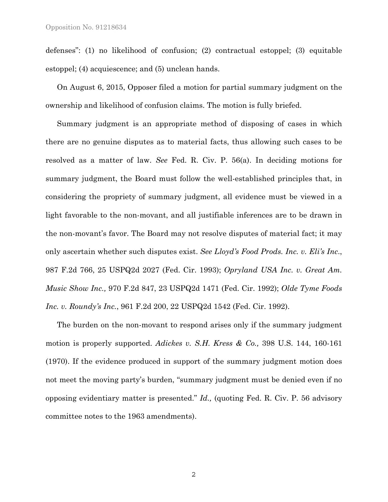defenses": (1) no likelihood of confusion; (2) contractual estoppel; (3) equitable estoppel; (4) acquiescence; and (5) unclean hands.

 On August 6, 2015, Opposer filed a motion for partial summary judgment on the ownership and likelihood of confusion claims. The motion is fully briefed.

 Summary judgment is an appropriate method of disposing of cases in which there are no genuine disputes as to material facts, thus allowing such cases to be resolved as a matter of law. *See* Fed. R. Civ. P. 56(a). In deciding motions for summary judgment, the Board must follow the well-established principles that, in considering the propriety of summary judgment, all evidence must be viewed in a light favorable to the non-movant, and all justifiable inferences are to be drawn in the non-movant's favor. The Board may not resolve disputes of material fact; it may only ascertain whether such disputes exist. *See Lloyd's Food Prods. Inc. v. Eli's Inc*., 987 F.2d 766, 25 USPQ2d 2027 (Fed. Cir. 1993); *Opryland USA Inc. v. Great Am. Music Show Inc.,* 970 F.2d 847, 23 USPQ2d 1471 (Fed. Cir. 1992); *Olde Tyme Foods Inc. v. Roundy's Inc.*, 961 F.2d 200, 22 USPQ2d 1542 (Fed. Cir. 1992).

 The burden on the non-movant to respond arises only if the summary judgment motion is properly supported. *Adickes v. S.H. Kress & Co.,* 398 U.S. 144, 160-161 (1970). If the evidence produced in support of the summary judgment motion does not meet the moving party's burden, "summary judgment must be denied even if no opposing evidentiary matter is presented." *Id.,* (quoting Fed. R. Civ. P. 56 advisory committee notes to the 1963 amendments).